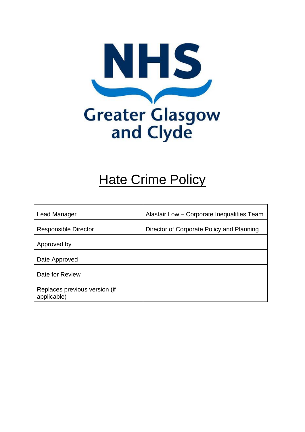

# **Hate Crime Policy**

| Lead Manager                  | Alastair Low - Corporate Inequalities Team |
|-------------------------------|--------------------------------------------|
|                               |                                            |
| <b>Responsible Director</b>   | Director of Corporate Policy and Planning  |
|                               |                                            |
| Approved by                   |                                            |
|                               |                                            |
| Date Approved                 |                                            |
|                               |                                            |
| Date for Review               |                                            |
|                               |                                            |
| Replaces previous version (if |                                            |
| applicable)                   |                                            |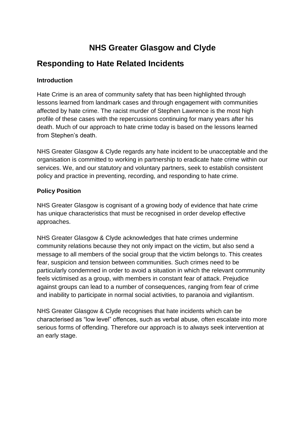## **NHS Greater Glasgow and Clyde**

### **Responding to Hate Related Incidents**

#### **Introduction**

Hate Crime is an area of community safety that has been highlighted through lessons learned from landmark cases and through engagement with communities affected by hate crime. The racist murder of Stephen Lawrence is the most high profile of these cases with the repercussions continuing for many years after his death. Much of our approach to hate crime today is based on the lessons learned from Stephen's death.

NHS Greater Glasgow & Clyde regards any hate incident to be unacceptable and the organisation is committed to working in partnership to eradicate hate crime within our services. We, and our statutory and voluntary partners, seek to establish consistent policy and practice in preventing, recording, and responding to hate crime.

#### **Policy Position**

NHS Greater Glasgow is cognisant of a growing body of evidence that hate crime has unique characteristics that must be recognised in order develop effective approaches.

NHS Greater Glasgow & Clyde acknowledges that hate crimes undermine community relations because they not only impact on the victim, but also send a message to all members of the social group that the victim belongs to. This creates fear, suspicion and tension between communities. Such crimes need to be particularly condemned in order to avoid a situation in which the relevant community feels victimised as a group, with members in constant fear of attack. Prejudice against groups can lead to a number of consequences, ranging from fear of crime and inability to participate in normal social activities, to paranoia and vigilantism.

NHS Greater Glasgow & Clyde recognises that hate incidents which can be characterised as "low level" offences, such as verbal abuse, often escalate into more serious forms of offending. Therefore our approach is to always seek intervention at an early stage.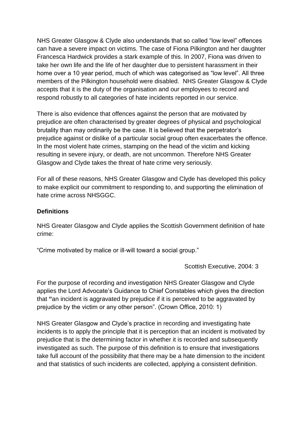NHS Greater Glasgow & Clyde also understands that so called "low level" offences can have a severe impact on victims. The case of Fiona Pilkington and her daughter Francesca Hardwick provides a stark example of this. In 2007, Fiona was driven to take her own life and the life of her daughter due to persistent harassment in their home over a 10 year period, much of which was categorised as "low level". All three members of the Pilkington household were disabled. NHS Greater Glasgow & Clyde accepts that it is the duty of the organisation and our employees to record and respond robustly to all categories of hate incidents reported in our service.

There is also evidence that offences against the person that are motivated by prejudice are often characterised by greater degrees of physical and psychological brutality than may ordinarily be the case. It is believed that the perpetrator's prejudice against or dislike of a particular social group often exacerbates the offence. In the most violent hate crimes, stamping on the head of the victim and kicking resulting in severe injury, or death, are not uncommon. Therefore NHS Greater Glasgow and Clyde takes the threat of hate crime very seriously.

For all of these reasons, NHS Greater Glasgow and Clyde has developed this policy to make explicit our commitment to responding to, and supporting the elimination of hate crime across NHSGGC.

#### **Definitions**

NHS Greater Glasgow and Clyde applies the Scottish Government definition of hate crime:

"Crime motivated by malice or ill-will toward a social group."

Scottish Executive, 2004: 3

For the purpose of recording and investigation NHS Greater Glasgow and Clyde applies the Lord Advocate's Guidance to Chief Constables which gives the direction that **"**an incident is aggravated by prejudice if it is perceived to be aggravated by prejudice by the victim or any other person". (Crown Office, 2010: 1)

NHS Greater Glasgow and Clyde's practice in recording and investigating hate incidents is to apply the principle that it is perception that an incident is motivated by prejudice that is the determining factor in whether it is recorded and subsequently investigated as such. The purpose of this definition is to ensure that investigations take full account of th*e* possibility *t*hat there may be a hate dimension to the incident and that statistics of such incidents are collected, applying a consistent definition.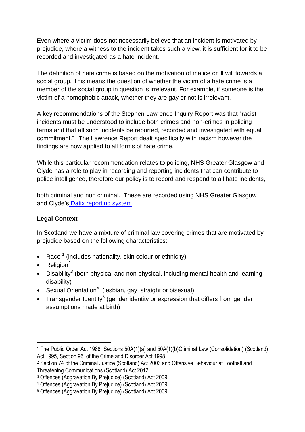Even where a victim does not necessarily believe that an incident is motivated by prejudice, where a witness to the incident takes such a view, it is sufficient for it to be recorded and investigated as a hate incident.

The definition of hate crime is based on the motivation of malice or ill will towards a social group*.* This means the question of whether the victim of a hate crime is a member of the social group in question is irrelevant. For example, if someone is the victim of a homophobic attack, whether they are gay or not is irrelevant.

A key recommendations of the Stephen Lawrence Inquiry Report was that "racist incidents must be understood to include both crimes and non-crimes in policing terms and that all such incidents be reported, recorded and investigated with equal commitment." The Lawrence Report dealt specifically with racism however the findings are now applied to all forms of hate crime.

While this particular recommendation relates to policing, NHS Greater Glasgow and Clyde has a role to play in recording and reporting incidents that can contribute to police intelligence, therefore our policy is to record and respond to all hate incidents,

both criminal and non criminal. These are recorded using NHS Greater Glasgow and Clyde's [Datix reporting system](http://www.staffnet.ggc.scot.nhs.uk/applications/datix/Pages/default.aspx) 

#### **Legal Context**

In Scotland we have a mixture of criminal law covering crimes that are motivated by prejudice based on the following characteristics:

- Race  $<sup>1</sup>$  (includes nationality, skin colour or ethnicity)</sup>
- Religion<sup>2</sup>

1

- Disability<sup>3</sup> (both physical and non physical, including mental health and learning disability)
- Sexual Orientation<sup>4</sup> (lesbian, gay, straight or bisexual)
- Transgender Identity<sup>5</sup> (gender [identity](http://www.equality-network.org/Equality/website.nsf/webpages/E275794AB1A4E5F980256FB80049F872#Gender%20identity%3A%20This%20is%20an%20indiv#Gender%20identity%3A%20This%20is%20an%20indiv) or [expression](http://www.equality-network.org/Equality/website.nsf/webpages/E275794AB1A4E5F980256FB80049F872#Gender%20expression%3A#Gender%20expression%3A) that differs from gender assumptions made at birth)

<sup>1</sup> The Public Order Act 1986, Sections 50A(1)(a) and 50A(1)(b)Criminal Law (Consolidation) (Scotland) Act 1995, Section 96 of the Crime and Disorder Act 1998

<sup>2</sup> Section 74 of the Criminal Justice (Scotland) Act 2003 and Offensive Behaviour at Football and Threatening Communications (Scotland) Act 2012

<sup>3</sup> Offences (Aggravation By Prejudice) (Scotland) Act 2009

<sup>4</sup> Offences (Aggravation By Prejudice) (Scotland) Act 2009

<sup>5</sup> Offences (Aggravation By Prejudice) (Scotland) Act 2009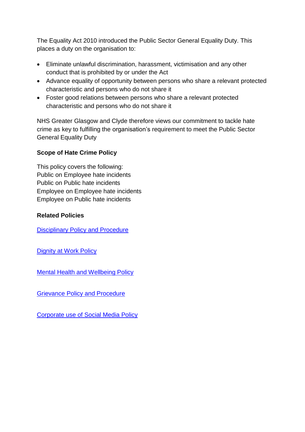The Equality Act 2010 introduced the Public Sector General Equality Duty. This places a duty on the organisation to:

- Eliminate unlawful discrimination, harassment, victimisation and any other conduct that is prohibited by or under the Act
- Advance equality of opportunity between persons who share a relevant protected characteristic and persons who do not share it
- Foster good relations between persons who share a relevant protected characteristic and persons who do not share it

NHS Greater Glasgow and Clyde therefore views our commitment to tackle hate crime as key to fulfilling the organisation's requirement to meet the Public Sector General Equality Duty

#### **Scope of Hate Crime Policy**

This policy covers the following: Public on Employee hate incidents Public on Public hate incidents Employee on Employee hate incidents Employee on Public hate incidents

#### **Related Policies**

**[Disciplinary Policy and Procedure](http://www.staffnet.ggc.scot.nhs.uk/Human%20Resources/Policies/Documents/Disciplinary%20Policy%20-%20Agreed%2023%20April%202014.pdf)** 

[Dignity at Work Policy](http://www.staffnet.ggc.scot.nhs.uk/Human%20Resources/Policies/Documents/DAW%20Policy%20%20Agreed%20June%202014.pdf)

[Mental Health and Wellbeing Policy](http://www.staffnet.ggc.scot.nhs.uk/Human%20Resources/Policies/Documents/NHSGGC_Mental_Health__Wellbeing_Policy_Guidance_Agreed%20April%202014.pdf)

Grievance [Policy and Procedure](http://www.staffnet.ggc.scot.nhs.uk/Human%20Resources/Policies/Documents/Grievance%20Policy%20Procedure%20Agreed%2023%20April%202014.pdf)

[Corporate use of Social Media](http://www.staffnet.ggc.scot.nhs.uk/Human%20Resources/Policies/Documents/Corporate%20Use%20of%20Social%20Media%20Agreed%2023%20April%202014.pdf) Policy